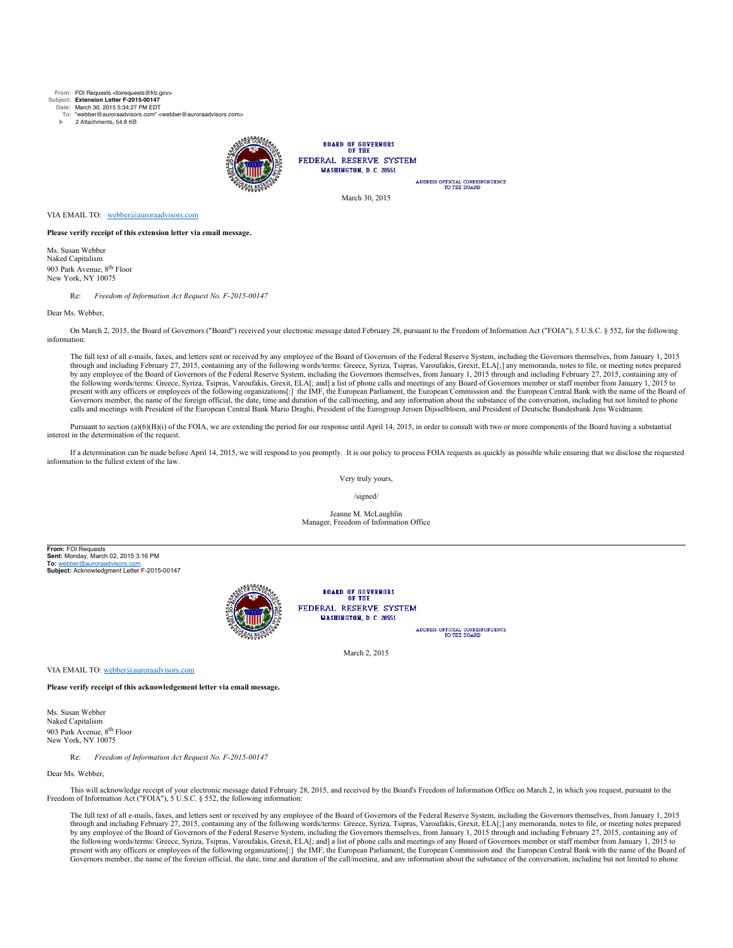**From:** FOI Requests <foirequests@frb.gov>

**Subject: Extension Letter F-2015-00147 Date:** March 30, 2015 5:34:27 PM EDT

**To:** "webber@auroraadvisors.com" <webber@auroraadvisors.com>

2 Attachments, 54.8 KB



**BOARD OF GOVERNORS** FEDERAL RESERVE SYSTEM **WASHINGTON, D.C. 20551** 

ADDRESS OFFICIAL CORRESPONDENCE<br>TO THE BOARD

March 30, 2015

VIA EMAIL TO: webber@auroraadvisors.com

**Please verify receipt of this extension letter via email message.**

Ms. Susan Webber Naked Capitalism 903 Park Avenue, 8<sup>th</sup> Floor New York, NY 10075

Re: *Freedom of Information Act Request No. F-2015-00147*

Dear Ms. Webber,

On March 2, 2015, the Board of Governors ("Board") received your electronic message dated February 28, pursuant to the Freedom of Information Act ("FOIA"), 5 U.S.C. § 552, for the following information:

The full text of all e-mails, faxes, and letters sent or received by any employee of the Board of Governors of the Federal Reserve System, including the Governors themselves, from January 1, 2015 through and including February 27, 2015, containing any of the following words/terms: Greece, Syriza, Tsipras, Varoufakis, Grexit, ELA[;] any memoranda, notes to file, or meeting notes prepared by any employee of the Board of Governors of the Federal Reserve System, including the Governors themselves, from January 1, 2015 through and including February 27, 2015, containing any of the following words/terms: Greece, Syriza, Tsipras, Varoufakis, Grexit, ELA[; and] a list of phone calls and meetings of any Board of Governors member or staff member from January 1, 2015 to<br>present with any officers or em Governors member, the name of the foreign official, the date, time and duration of the call/meeting, and any information about the substance of the conversation, including but not limited to phone calls and meetings with President of the European Central Bank Mario Draghi, President of the Eurogroup Jeroen Dijsselbloem, and President of Deutsche Bundesbank Jens Weidmann.

Pursuant to section (a)(6)(B)(i) of the FOIA, we are extending the period for our response until April 14, 2015, in order to consult with two or more components of the Board having a substantial interest in the determination of the request.

If a determination can be made before April 14, 2015, we will respond to you promptly. It is our policy to process FOIA requests as quickly as possible while ensuring that we disclose the requested information to the fullest extent of the law.

Very truly yours,

/signed/

Jeanne M. McLaughlin Manager, Freedom of Information Office

**From:** FOI Requests **Sent:** Monday, March 02, 2015 3:16 PM **To:** webber@auroraadvisors.com **Subject:** Acknowledgment Letter F-2015-00147



**BOARD OF GOVERNORS** FEDERAL RESERVE SYSTEM **MASHINGTON D.C. 20551** 

ADDRESS OFFICIAL CORRESPONDENCE<br>TO THE BOARD

March 2, 2015

VIA EMAIL TO: webber@auroraadvisors

**Please verify receipt of this acknowledgement letter via email message.**

Ms. Susan Webber Naked Capitalism 903 Park Avenue, 8th Floor New York, NY 10075

Re: *Freedom of Information Act Request No. F-2015-00147*

Dear Ms. Webber

This will acknowledge receipt of your electronic message dated February 28, 2015, and received by the Board's Freedom of Information Office on March 2, in which you request, pursuant to the Freedom of Information Act ("FOIA"), 5 U.S.C. § 552, the following information:

The full text of all e-mails, faxes, and letters sent or received by any employee of the Board of Governors of the Federal Reserve System, including the Governors themselves, from January 1, 2015 through and including February 27, 2015, containing any of the following words/terms: Greece, Syriza, Tsipras, Varoufakis, Grexit, ELA[;] any memoranda, notes to file, or meeting notes prepared by any employee of the Board of Governors of the Federal Reserve System, including the Governors themselves, from January 1, 2015 through and including February 27, 2015, containing any of the following words/terms: Greece, Syriza, Tsipras, Varoufakis, Grexit, ELA[; and] a list of phone calls and meetings of any Board of Governors member or staff member from January 1, 2015 to present with any officers or employees of the following organizations[:] the IMF, the European Parliament, the European Commission and the European Central Bank with the name of the Board of Governors member, the name of the foreign official, the date, time and duration of the call/meeting, and any information about the substance of the conversation, including but not limited to phone